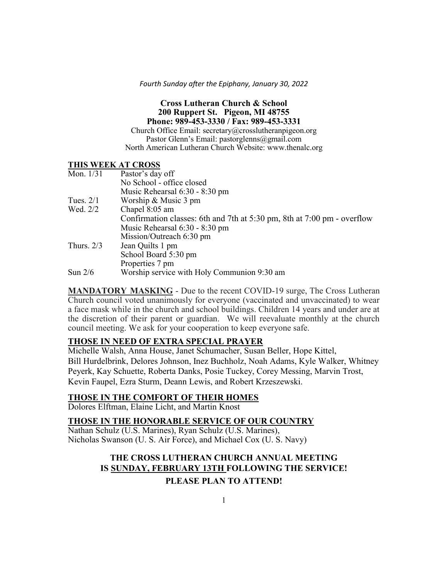*Fourth Sunday after the Epiphany, January 30, 2022*

### **Cross Lutheran Church & School 200 Ruppert St. Pigeon, MI 48755 Phone: 989-453-3330 / Fax: 989-453-3331**

Church Office Email: secretary@crosslutheranpigeon.org Pastor Glenn's Email: pastorglenns@gmail.com North American Lutheran Church Website: www.thenalc.org

#### **THIS WEEK AT CROSS**

| Mon. $1/31$  | Pastor's day off                                                        |
|--------------|-------------------------------------------------------------------------|
|              | No School - office closed                                               |
|              | Music Rehearsal 6:30 - 8:30 pm                                          |
| Tues. $2/1$  | Worship & Music 3 pm                                                    |
| Wed. 2/2     | Chapel 8:05 am                                                          |
|              | Confirmation classes: 6th and 7th at 5:30 pm, 8th at 7:00 pm - overflow |
|              | Music Rehearsal 6:30 - 8:30 pm                                          |
|              | Mission/Outreach 6:30 pm                                                |
| Thurs. $2/3$ | Jean Quilts 1 pm                                                        |
|              | School Board 5:30 pm                                                    |
|              | Properties 7 pm                                                         |
| Sun 2/6      | Worship service with Holy Communion 9:30 am                             |

**MANDATORY MASKING** - Due to the recent COVID-19 surge, The Cross Lutheran Church council voted unanimously for everyone (vaccinated and unvaccinated) to wear a face mask while in the church and school buildings. Children 14 years and under are at the discretion of their parent or guardian. We will reevaluate monthly at the church council meeting. We ask for your cooperation to keep everyone safe.

## **THOSE IN NEED OF EXTRA SPECIAL PRAYER**

Michelle Walsh, Anna House, Janet Schumacher, Susan Beller, Hope Kittel, Bill Hurdelbrink, Delores Johnson, Inez Buchholz, Noah Adams, Kyle Walker, Whitney Peyerk, Kay Schuette, Roberta Danks, Posie Tuckey, Corey Messing, Marvin Trost, Kevin Faupel, Ezra Sturm, Deann Lewis, and Robert Krzeszewski.

### **THOSE IN THE COMFORT OF THEIR HOMES**

Dolores Elftman, Elaine Licht, and Martin Knost

### **THOSE IN THE HONORABLE SERVICE OF OUR COUNTRY**

Nathan Schulz (U.S. Marines), Ryan Schulz (U.S. Marines), Nicholas Swanson (U. S. Air Force), and Michael Cox (U. S. Navy)

# **THE CROSS LUTHERAN CHURCH ANNUAL MEETING IS SUNDAY, FEBRUARY 13TH FOLLOWING THE SERVICE! PLEASE PLAN TO ATTEND!**